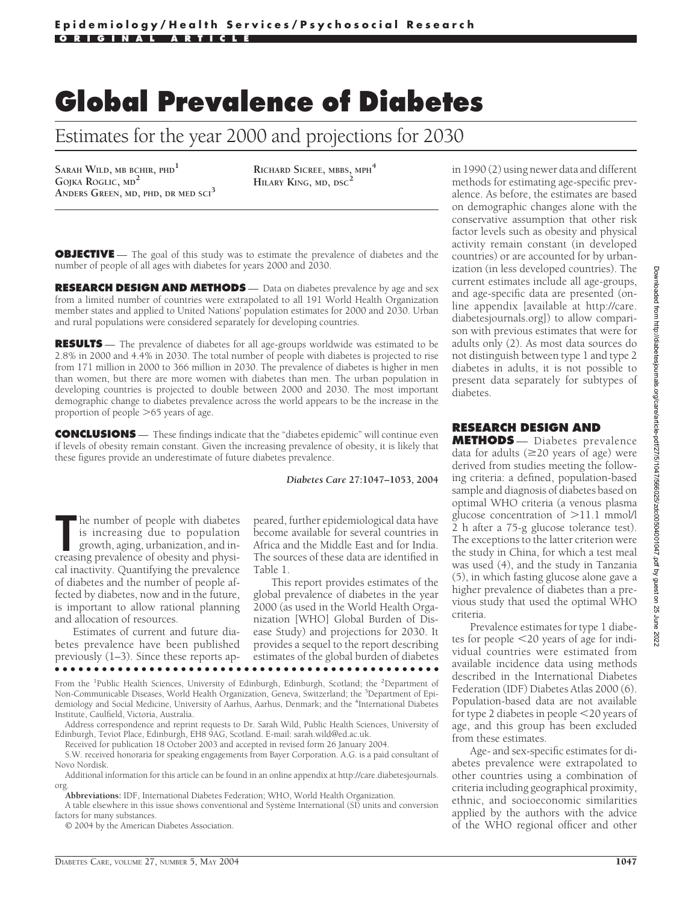## **Global Prevalence of Diabetes**

Estimates for the year 2000 and projections for 2030

**SARAH WILD, MB BCHIR, PHD<sup>1</sup> GOJKA ROGLIC, MD<sup>2</sup> ANDERS GREEN, MD, PHD, DR MED SCI<sup>3</sup>**

**RICHARD SICREE, MBBS, MPH<sup>4</sup> HILARY KING, MD, DSC<sup>2</sup>**

**OBJECTIVE** — The goal of this study was to estimate the prevalence of diabetes and the number of people of all ages with diabetes for years 2000 and 2030.

**RESEARCH DESIGN AND METHODS** — Data on diabetes prevalence by age and sex from a limited number of countries were extrapolated to all 191 World Health Organization member states and applied to United Nations' population estimates for 2000 and 2030. Urban and rural populations were considered separately for developing countries.

**RESULTS** — The prevalence of diabetes for all age-groups worldwide was estimated to be 2.8% in 2000 and 4.4% in 2030. The total number of people with diabetes is projected to rise from 171 million in 2000 to 366 million in 2030. The prevalence of diabetes is higher in men than women, but there are more women with diabetes than men. The urban population in developing countries is projected to double between 2000 and 2030. The most important demographic change to diabetes prevalence across the world appears to be the increase in the proportion of people  $>65$  years of age.

**CONCLUSIONS** — These findings indicate that the "diabetes epidemic" will continue even if levels of obesity remain constant. Given the increasing prevalence of obesity, it is likely that these figures provide an underestimate of future diabetes prevalence.

*Diabetes Care* **27:1047–1053, 2004**

The number of people with diabetes is increasing due to population growth, aging, urbanization, and increasing prevalence of obesity and physihe number of people with diabetes is increasing due to population growth, aging, urbanization, and incal inactivity. Quantifying the prevalence of diabetes and the number of people affected by diabetes, now and in the future, is important to allow rational planning and allocation of resources.

Estimates of current and future diabetes prevalence have been published previously (1–3). Since these reports ap-●●●●●●●●●●●●●●●●●●●●●●●●●●●●●●●●●●●●●●●●●●●●●●●●●

peared, further epidemiological data have become available for several countries in Africa and the Middle East and for India. The sources of these data are identified in Table 1.

This report provides estimates of the global prevalence of diabetes in the year 2000 (as used in the World Health Organization [WHO] Global Burden of Disease Study) and projections for 2030. It provides a sequel to the report describing estimates of the global burden of diabetes

From the <sup>1</sup>Public Health Sciences, University of Edinburgh, Edinburgh, Scotland; the <sup>2</sup>Department of Non-Communicable Diseases, World Health Organization, Geneva, Switzerland; the <sup>3</sup>Department of Epidemiology and Social Medicine, University of Aarhus, Aarhus, Denmark; and the <sup>4</sup>International Diabetes Institute, Caulfield, Victoria, Australia.

Address correspondence and reprint requests to Dr. Sarah Wild, Public Health Sciences, University of Edinburgh, Teviot Place, Edinburgh, EH8 9AG, Scotland. E-mail: sarah.wild@ed.ac.uk.

Received for publication 18 October 2003 and accepted in revised form 26 January 2004.

S.W. received honoraria for speaking engagements from Bayer Corporation. A.G. is a paid consultant of Novo Nordisk.

Additional information for this article can be found in an online appendix at http://care.diabetesjournals. org.

**Abbreviations:** IDF, International Diabetes Federation; WHO, World Health Organization.

A table elsewhere in this issue shows conventional and Système International (SI) units and conversion factors for many substances.

© 2004 by the American Diabetes Association.

in 1990 (2) using newer data and different methods for estimating age-specific prevalence. As before, the estimates are based on demographic changes alone with the conservative assumption that other risk factor levels such as obesity and physical activity remain constant (in developed countries) or are accounted for by urbanization (in less developed countries). The current estimates include all age-groups, and age-specific data are presented (online appendix [available at http://care. diabetesjournals.org]) to allow comparison with previous estimates that were for adults only (2). As most data sources do not distinguish between type 1 and type 2 diabetes in adults, it is not possible to present data separately for subtypes of diabetes.

## **RESEARCH DESIGN AND**

**METHODS** — Diabetes prevalence data for adults  $(\geq 20$  years of age) were derived from studies meeting the following criteria: a defined, population-based sample and diagnosis of diabetes based on optimal WHO criteria (a venous plasma glucose concentration of  $>11.1$  mmol/l 2 h after a 75-g glucose tolerance test). The exceptions to the latter criterion were the study in China, for which a test meal was used (4), and the study in Tanzania (5), in which fasting glucose alone gave a higher prevalence of diabetes than a previous study that used the optimal WHO criteria.

Prevalence estimates for type 1 diabetes for people <20 years of age for individual countries were estimated from available incidence data using methods described in the International Diabetes Federation (IDF) Diabetes Atlas 2000 (6). Population-based data are not available for type 2 diabetes in people <20 years of age, and this group has been excluded from these estimates.

Age- and sex-specific estimates for diabetes prevalence were extrapolated to other countries using a combination of criteria including geographical proximity, ethnic, and socioeconomic similarities applied by the authors with the advice of the WHO regional officer and other

Downloaded from http://diabetesjournals.org/care/article-pdf/27/5/1047/566025/zdc00504001047.pdf by guest on 25 June 2022 Downloaded from http://diabetesjournals.org/care/article-pdf/27/5/1047/566025/zdc00504001047.pdf by guest on 25 June 2022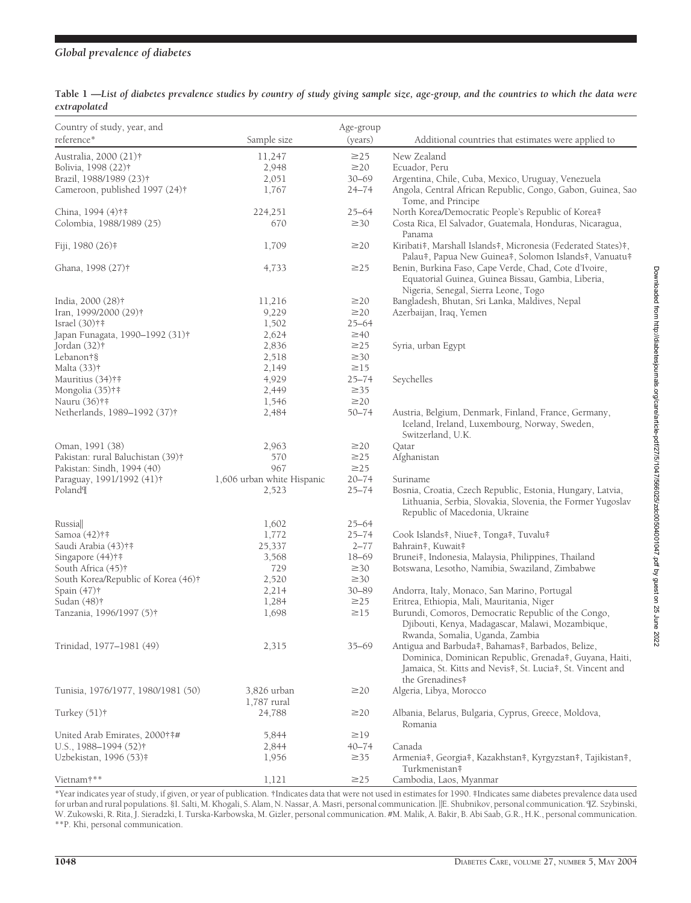## *Global prevalence of diabetes*

| Country of study, year, and<br>reference* | Sample size                | Age-group<br>(years) | Additional countries that estimates were applied to                                                                                                                       |
|-------------------------------------------|----------------------------|----------------------|---------------------------------------------------------------------------------------------------------------------------------------------------------------------------|
| Australia, 2000 (21)†                     | 11,247                     | $\geq$ 25            | New Zealand                                                                                                                                                               |
| Bolivia, 1998 (22)†                       | 2,948                      | $\geq$ 20            | Ecuador, Peru                                                                                                                                                             |
| Brazil, 1988/1989 (23)†                   | 2,051                      | $30 - 69$            | Argentina, Chile, Cuba, Mexico, Uruguay, Venezuela                                                                                                                        |
| Cameroon, published 1997 (24)†            | 1,767                      | $24 - 74$            | Angola, Central African Republic, Congo, Gabon, Guinea, Sao<br>Tome, and Principe                                                                                         |
| China, 1994 (4)†‡                         | 224,251                    | $25 - 64$            | North Korea/Democratic People's Republic of Korea#                                                                                                                        |
| Colombia, 1988/1989 (25)                  | 670                        | $\geq 30$            | Costa Rica, El Salvador, Guatemala, Honduras, Nicaragua,<br>Panama                                                                                                        |
| Fiji, 1980 (26)‡                          | 1,709                      | $\geq$ 20            | Kiribati‡, Marshall Islands‡, Micronesia (Federated States)‡,<br>Palau‡, Papua New Guinea‡, Solomon Islands‡, Vanuatu‡                                                    |
| Ghana, 1998 (27)†                         | 4,733                      | $\geq$ 25            | Benin, Burkina Faso, Cape Verde, Chad, Cote d'Ivoire,<br>Equatorial Guinea, Guinea Bissau, Gambia, Liberia,<br>Nigeria, Senegal, Sierra Leone, Togo                       |
| India, 2000 (28)†                         | 11,216                     | $\geq$ 20            | Bangladesh, Bhutan, Sri Lanka, Maldives, Nepal                                                                                                                            |
| Iran, 1999/2000 (29)†                     | 9,229                      | $\geq$ 20            | Azerbaijan, Iraq, Yemen                                                                                                                                                   |
| Israel $(30)$ †‡                          | 1,502                      | $25 - 64$            |                                                                                                                                                                           |
| Japan Funagata, 1990–1992 (31)†           | 2,624                      | $\geq 40$            |                                                                                                                                                                           |
| Jordan (32)†                              | 2,836                      | $\geq$ 25            | Syria, urban Egypt                                                                                                                                                        |
| Lebanon†§                                 | 2,518                      | $\geq 30$            |                                                                                                                                                                           |
| Malta (33)†                               | 2,149                      | $\geq$ 15            |                                                                                                                                                                           |
| Mauritius (34)†‡                          | 4,929                      | $25 - 74$            | Seychelles                                                                                                                                                                |
| Mongolia (35)†‡                           | 2,449                      | $\geq$ 35            |                                                                                                                                                                           |
| Nauru (36)†‡                              | 1,546                      | $\geq$ 20            |                                                                                                                                                                           |
| Netherlands, 1989–1992 (37)†              | 2,484                      | $50 - 74$            | Austria, Belgium, Denmark, Finland, France, Germany,<br>Iceland, Ireland, Luxembourg, Norway, Sweden,                                                                     |
|                                           |                            |                      | Switzerland, U.K.                                                                                                                                                         |
| Oman, 1991 (38)                           | 2,963                      | $\geq$ 20            | Qatar                                                                                                                                                                     |
| Pakistan: rural Baluchistan (39)†         | 570                        | $\geq$ 25            | Afghanistan                                                                                                                                                               |
| Pakistan: Sindh, 1994 (40)                | 967                        | $\geq$ 25            |                                                                                                                                                                           |
| Paraguay, 1991/1992 (41)†                 | 1,606 urban white Hispanic | $20 - 74$            | Suriname                                                                                                                                                                  |
| Poland¶                                   | 2,523                      | $25 - 74$            | Bosnia, Croatia, Czech Republic, Estonia, Hungary, Latvia,<br>Lithuania, Serbia, Slovakia, Slovenia, the Former Yugoslav<br>Republic of Macedonia, Ukraine                |
| Russia                                    | 1,602                      | $25 - 64$            |                                                                                                                                                                           |
| Samoa (42)†‡                              | 1,772                      | $25 - 74$            | Cook Islands#, Niue#, Tonga#, Tuvalu#                                                                                                                                     |
| Saudi Arabia (43)†‡                       | 25,337                     | $2 - 77$             | Bahrain#, Kuwait#                                                                                                                                                         |
| Singapore $(44)$ †‡                       | 3,568                      | $18 - 69$            | Brunei#, Indonesia, Malaysia, Philippines, Thailand                                                                                                                       |
| South Africa (45)†                        | 729                        | $\geq$ 30            | Botswana, Lesotho, Namibia, Swaziland, Zimbabwe                                                                                                                           |
| South Korea/Republic of Korea (46)†       | 2,520                      | $\geq$ 30            |                                                                                                                                                                           |
| Spain (47)†                               | 2,214                      | $30 - 89$            | Andorra, Italy, Monaco, San Marino, Portugal                                                                                                                              |
| Sudan (48) <sup>†</sup>                   | 1,284                      | $\geq$ 25            | Eritrea, Ethiopia, Mali, Mauritania, Niger                                                                                                                                |
| Tanzania, 1996/1997 (5)†                  | 1,698                      | $\geq$ 15            | Burundi, Comoros, Democratic Republic of the Congo,<br>Djibouti, Kenya, Madagascar, Malawi, Mozambique,<br>Rwanda, Somalia, Uganda, Zambia                                |
| Trinidad, 1977-1981 (49)                  | 2,315                      | $35 - 69$            | Antigua and Barbuda#, Bahamas#, Barbados, Belize,<br>Dominica, Dominican Republic, Grenada#, Guyana, Haiti,<br>Jamaica, St. Kitts and Nevis#, St. Lucia#, St. Vincent and |
| Tunisia, 1976/1977, 1980/1981 (50)        | 3,826 urban<br>1,787 rural | $\geq$ 20            | the Grenadines#<br>Algeria, Libya, Morocco                                                                                                                                |
| Turkey $(51)$ †                           | 24,788                     | $\geq$ 20            | Albania, Belarus, Bulgaria, Cyprus, Greece, Moldova,<br>Romania                                                                                                           |
| United Arab Emirates, 2000†##             | 5,844                      | $\geq$ 19            |                                                                                                                                                                           |
| U.S., 1988-1994 (52)†                     | 2,844                      | $40 - 74$            | Canada                                                                                                                                                                    |
| Uzbekistan, 1996 (53)‡                    | 1,956                      | $\geq$ 35            | Armenia#, Georgia#, Kazakhstan#, Kyrgyzstan#, Tajikistan#,<br>Turkmenistan#                                                                                               |
| Vietnam†**                                | 1,121                      | $\geq$ 25            | Cambodia, Laos, Myanmar                                                                                                                                                   |

**Table 1 —***List of diabetes prevalence studies by country of study giving sample size, age-group, and the countries to which the data were extrapolated*

\*Year indicates year of study, if given, or year of publication. †Indicates data that were not used in estimates for 1990. ‡Indicates same diabetes prevalence data used for urban and rural populations. §I. Salti, M. Khogali, S. Alam, N. Nassar, A. Masri, personal communication. [[E. Shubnikov, personal communication. [Z. Szybinski, W. Zukowski, R. Rita, J. Sieradzki, I. Turska-Karbowska, M. Gizler, personal communication. #M. Malik, A. Bakir, B. Abi Saab, G.R., H.K., personal communication. \*\*P. Khi, personal communication.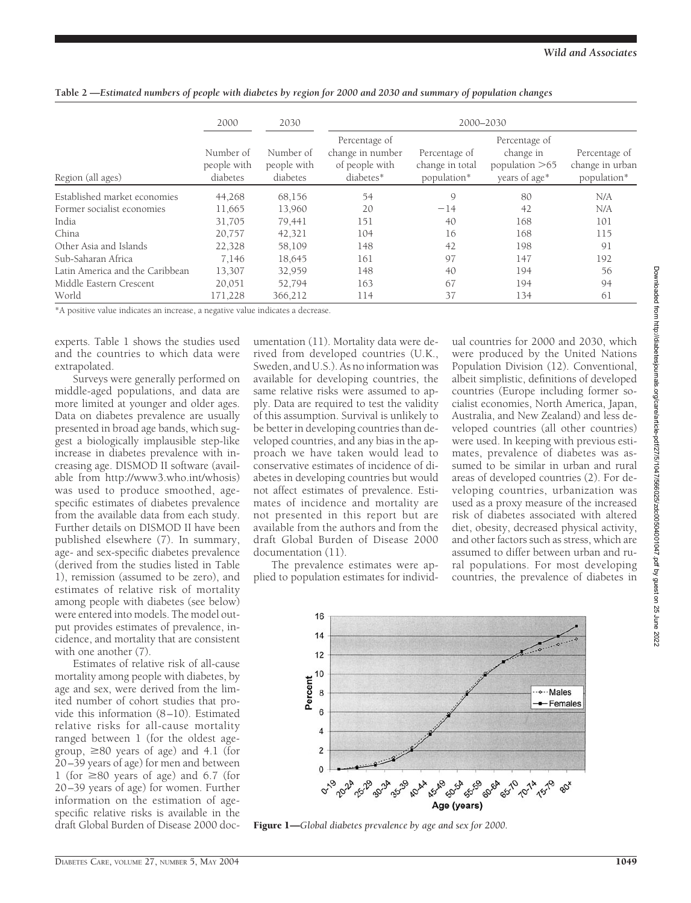|                                 | 2000                                 | 2030<br>Number of<br>people with<br>diabetes | 2000-2030                                                        |                                                 |                                                                 |                                                 |
|---------------------------------|--------------------------------------|----------------------------------------------|------------------------------------------------------------------|-------------------------------------------------|-----------------------------------------------------------------|-------------------------------------------------|
| Region (all ages)               | Number of<br>people with<br>diabetes |                                              | Percentage of<br>change in number<br>of people with<br>diabetes* | Percentage of<br>change in total<br>population* | Percentage of<br>change in<br>population $>65$<br>years of age* | Percentage of<br>change in urban<br>population* |
| Established market economies    | 44,268                               | 68,156                                       | 54                                                               | $\mathcal{Q}$                                   | 80                                                              | N/A                                             |
| Former socialist economies      | 11,665                               | 13,960                                       | 20                                                               | $-14$                                           | 42                                                              | N/A                                             |
| India                           | 31,705                               | 79.441                                       | 151                                                              | 40                                              | 168                                                             | 101                                             |
| China                           | 20,757                               | 42,321                                       | 104                                                              | 16                                              | 168                                                             | 115                                             |
| Other Asia and Islands          | 22,328                               | 58,109                                       | 148                                                              | 42                                              | 198                                                             | 91                                              |
| Sub-Saharan Africa              | 7,146                                | 18,645                                       | 161                                                              | 97                                              | 147                                                             | 192                                             |
| Latin America and the Caribbean | 13,307                               | 32,959                                       | 148                                                              | 40                                              | 194                                                             | 56                                              |
| Middle Eastern Crescent         | 20,051                               | 52,794                                       | 163                                                              | 67                                              | 194                                                             | 94                                              |
| World                           | 171,228                              | 366,212                                      | 114                                                              | 37                                              | 134                                                             | 61                                              |

**Table 2 —***Estimated numbers of people with diabetes by region for 2000 and 2030 and summary of population changes*

\*A positive value indicates an increase, a negative value indicates a decrease.

experts. Table 1 shows the studies used and the countries to which data were extrapolated.

Surveys were generally performed on middle-aged populations, and data are more limited at younger and older ages. Data on diabetes prevalence are usually presented in broad age bands, which suggest a biologically implausible step-like increase in diabetes prevalence with increasing age. DISMOD II software (available from http://www3.who.int/whosis) was used to produce smoothed, agespecific estimates of diabetes prevalence from the available data from each study. Further details on DISMOD II have been published elsewhere (7). In summary, age- and sex-specific diabetes prevalence (derived from the studies listed in Table 1), remission (assumed to be zero), and estimates of relative risk of mortality among people with diabetes (see below) were entered into models. The model output provides estimates of prevalence, incidence, and mortality that are consistent with one another (7).

Estimates of relative risk of all-cause mortality among people with diabetes, by age and sex, were derived from the limited number of cohort studies that provide this information (8–10). Estimated relative risks for all-cause mortality ranged between 1 (for the oldest agegroup,  $\geq 80$  years of age) and 4.1 (for 20–39 years of age) for men and between 1 (for  $\geq 80$  years of age) and 6.7 (for 20–39 years of age) for women. Further information on the estimation of agespecific relative risks is available in the draft Global Burden of Disease 2000 doc-

umentation (11). Mortality data were derived from developed countries (U.K., Sweden, and U.S.). As no information was available for developing countries, the same relative risks were assumed to apply. Data are required to test the validity of this assumption. Survival is unlikely to be better in developing countries than developed countries, and any bias in the approach we have taken would lead to conservative estimates of incidence of diabetes in developing countries but would not affect estimates of prevalence. Estimates of incidence and mortality are not presented in this report but are available from the authors and from the draft Global Burden of Disease 2000 documentation (11).

The prevalence estimates were applied to population estimates for individ-

ual countries for 2000 and 2030, which were produced by the United Nations Population Division (12). Conventional, albeit simplistic, definitions of developed countries (Europe including former socialist economies, North America, Japan, Australia, and New Zealand) and less developed countries (all other countries) were used. In keeping with previous estimates, prevalence of diabetes was assumed to be similar in urban and rural areas of developed countries (2). For developing countries, urbanization was used as a proxy measure of the increased risk of diabetes associated with altered diet, obesity, decreased physical activity, and other factors such as stress, which are assumed to differ between urban and rural populations. For most developing countries, the prevalence of diabetes in



Figure 1—*Global diabetes prevalence by age and sex for 2000.*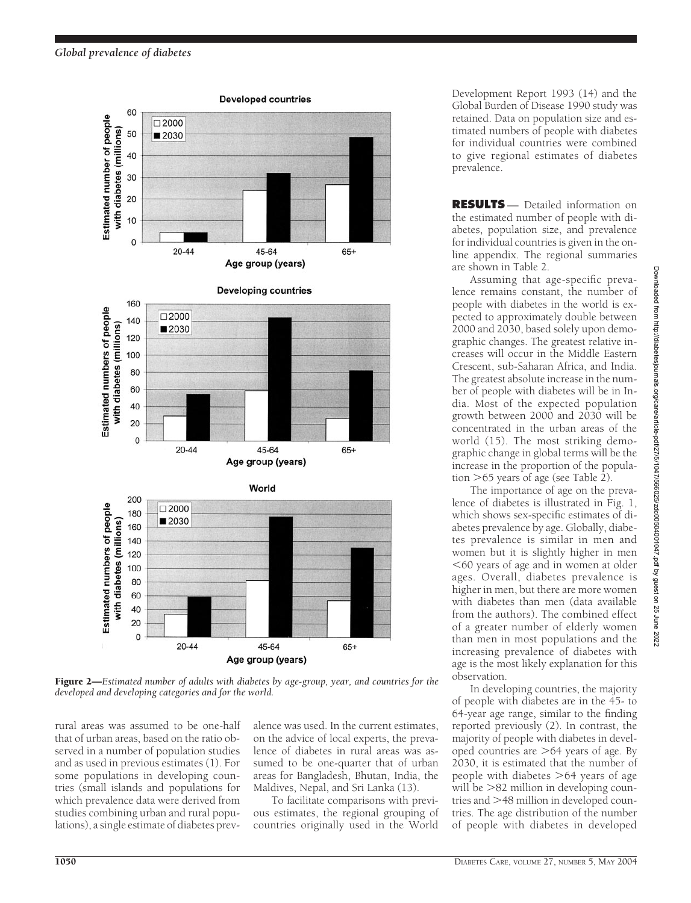

Figure 2—*Estimated number of adults with diabetes by age-group, year, and countries for the developed and developing categories and for the world.*

rural areas was assumed to be one-half that of urban areas, based on the ratio observed in a number of population studies and as used in previous estimates (1). For some populations in developing countries (small islands and populations for which prevalence data were derived from studies combining urban and rural populations), a single estimate of diabetes prev-

alence was used. In the current estimates, on the advice of local experts, the prevalence of diabetes in rural areas was assumed to be one-quarter that of urban areas for Bangladesh, Bhutan, India, the Maldives, Nepal, and Sri Lanka (13).

To facilitate comparisons with previous estimates, the regional grouping of countries originally used in the World

Development Report 1993 (14) and the Global Burden of Disease 1990 study was retained. Data on population size and estimated numbers of people with diabetes for individual countries were combined to give regional estimates of diabetes prevalence.

**RESULTS** — Detailed information on the estimated number of people with diabetes, population size, and prevalence for individual countries is given in the online appendix. The regional summaries are shown in Table 2.

Assuming that age-specific prevalence remains constant, the number of people with diabetes in the world is expected to approximately double between 2000 and 2030, based solely upon demographic changes. The greatest relative increases will occur in the Middle Eastern Crescent, sub-Saharan Africa, and India. The greatest absolute increase in the number of people with diabetes will be in India. Most of the expected population growth between 2000 and 2030 will be concentrated in the urban areas of the world (15). The most striking demographic change in global terms will be the increase in the proportion of the population  $>65$  years of age (see Table 2).

The importance of age on the prevalence of diabetes is illustrated in Fig. 1, which shows sex-specific estimates of diabetes prevalence by age. Globally, diabetes prevalence is similar in men and women but it is slightly higher in men -60 years of age and in women at older ages. Overall, diabetes prevalence is higher in men, but there are more women with diabetes than men (data available from the authors). The combined effect of a greater number of elderly women than men in most populations and the increasing prevalence of diabetes with age is the most likely explanation for this observation.

In developing countries, the majority of people with diabetes are in the 45- to 64-year age range, similar to the finding reported previously (2). In contrast, the majority of people with diabetes in developed countries are  $>64$  years of age. By 2030, it is estimated that the number of people with diabetes  $>64$  years of age will be  $>82$  million in developing countries and  $>$ 48 million in developed countries. The age distribution of the number of people with diabetes in developed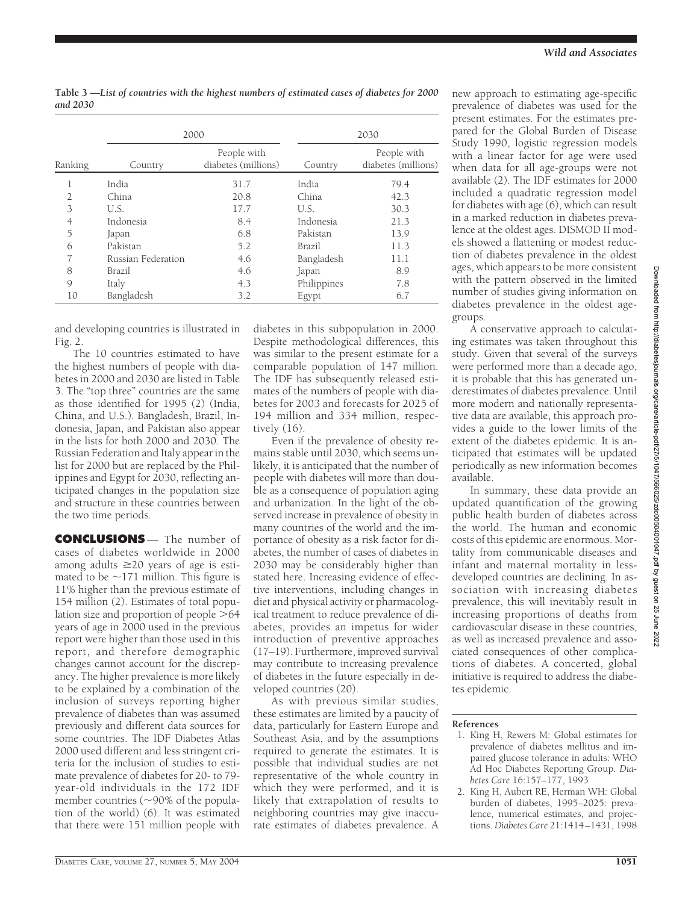| Table 3 —List of countries with the highest numbers of estimated cases of diabetes for 2000 |  |  |  |
|---------------------------------------------------------------------------------------------|--|--|--|
| and 2030                                                                                    |  |  |  |

|         |                    | 2000                               | 2030        |                                    |  |
|---------|--------------------|------------------------------------|-------------|------------------------------------|--|
| Ranking | Country            | People with<br>diabetes (millions) | Country     | People with<br>diabetes (millions) |  |
| п       | India              | 31.7                               | India       | 79.4                               |  |
|         | China              | 20.8                               | China       | 42.3                               |  |
| 3       | U.S.               | 17.7                               | U.S.        | 30.3                               |  |
| 4       | Indonesia          | 8.4                                | Indonesia   | 21.3                               |  |
| 5       | Japan              | 6.8                                | Pakistan    | 13.9                               |  |
| 6       | Pakistan           | 5.2                                | Brazil      | 11.3                               |  |
| 7       | Russian Federation | 4.6                                | Bangladesh  | 11.1                               |  |
| 8       | Brazil             | 4.6                                | Japan       | 8.9                                |  |
| 9       | Italy              | 4.3                                | Philippines | 7.8                                |  |
| 10      | Bangladesh         | 3.2                                | Egypt       | 6.7                                |  |

and developing countries is illustrated in Fig. 2.

The 10 countries estimated to have the highest numbers of people with diabetes in 2000 and 2030 are listed in Table 3. The "top three" countries are the same as those identified for 1995 (2) (India, China, and U.S.). Bangladesh, Brazil, Indonesia, Japan, and Pakistan also appear in the lists for both 2000 and 2030. The Russian Federation and Italy appear in the list for 2000 but are replaced by the Philippines and Egypt for 2030, reflecting anticipated changes in the population size and structure in these countries between the two time periods.

**CONCLUSIONS** — The number of cases of diabetes worldwide in 2000 among adults  $\geq$  20 years of age is estimated to be  $\sim$ 171 million. This figure is 11% higher than the previous estimate of 154 million (2). Estimates of total population size and proportion of people  $>64$ years of age in 2000 used in the previous report were higher than those used in this report, and therefore demographic changes cannot account for the discrepancy. The higher prevalence is more likely to be explained by a combination of the inclusion of surveys reporting higher prevalence of diabetes than was assumed previously and different data sources for some countries. The IDF Diabetes Atlas 2000 used different and less stringent criteria for the inclusion of studies to estimate prevalence of diabetes for 20- to 79 year-old individuals in the 172 IDF member countries ( $\sim$ 90% of the population of the world) (6). It was estimated that there were 151 million people with

diabetes in this subpopulation in 2000. Despite methodological differences, this was similar to the present estimate for a comparable population of 147 million. The IDF has subsequently released estimates of the numbers of people with diabetes for 2003 and forecasts for 2025 of 194 million and 334 million, respectively (16).

Even if the prevalence of obesity remains stable until 2030, which seems unlikely, it is anticipated that the number of people with diabetes will more than double as a consequence of population aging and urbanization. In the light of the observed increase in prevalence of obesity in many countries of the world and the importance of obesity as a risk factor for diabetes, the number of cases of diabetes in 2030 may be considerably higher than stated here. Increasing evidence of effective interventions, including changes in diet and physical activity or pharmacological treatment to reduce prevalence of diabetes, provides an impetus for wider introduction of preventive approaches (17–19). Furthermore, improved survival may contribute to increasing prevalence of diabetes in the future especially in developed countries (20).

As with previous similar studies, these estimates are limited by a paucity of data, particularly for Eastern Europe and Southeast Asia, and by the assumptions required to generate the estimates. It is possible that individual studies are not representative of the whole country in which they were performed, and it is likely that extrapolation of results to neighboring countries may give inaccurate estimates of diabetes prevalence. A

new approach to estimating age-specific prevalence of diabetes was used for the present estimates. For the estimates prepared for the Global Burden of Disease Study 1990, logistic regression models with a linear factor for age were used when data for all age-groups were not available (2). The IDF estimates for 2000 included a quadratic regression model for diabetes with age (6), which can result in a marked reduction in diabetes prevalence at the oldest ages. DISMOD II models showed a flattening or modest reduction of diabetes prevalence in the oldest ages, which appears to be more consistent with the pattern observed in the limited number of studies giving information on diabetes prevalence in the oldest agegroups.

A conservative approach to calculating estimates was taken throughout this study. Given that several of the surveys were performed more than a decade ago, it is probable that this has generated underestimates of diabetes prevalence. Until more modern and nationally representative data are available, this approach provides a guide to the lower limits of the extent of the diabetes epidemic. It is anticipated that estimates will be updated periodically as new information becomes available.

In summary, these data provide an updated quantification of the growing public health burden of diabetes across the world. The human and economic costs of this epidemic are enormous. Mortality from communicable diseases and infant and maternal mortality in lessdeveloped countries are declining. In association with increasing diabetes prevalence, this will inevitably result in increasing proportions of deaths from cardiovascular disease in these countries, as well as increased prevalence and associated consequences of other complications of diabetes. A concerted, global initiative is required to address the diabetes epidemic.

## **References**

- 1. King H, Rewers M: Global estimates for prevalence of diabetes mellitus and impaired glucose tolerance in adults: WHO Ad Hoc Diabetes Reporting Group. *Diabetes Care* 16:157–177, 1993
- 2. King H, Aubert RE, Herman WH: Global burden of diabetes, 1995–2025: prevalence, numerical estimates, and projections. *Diabetes Care* 21:1414–1431, 1998

Downloaded from http://diabetesjournals.org/care/article-pdf/27/5/1047/566025/zdc00504001047-pdf by guest on 25 June 2022 Downloaded from http://diabetesjournals.org/care/article-pdf/27/5/1047/566025/zdc00504001047.pdf by guest on 25 June 2022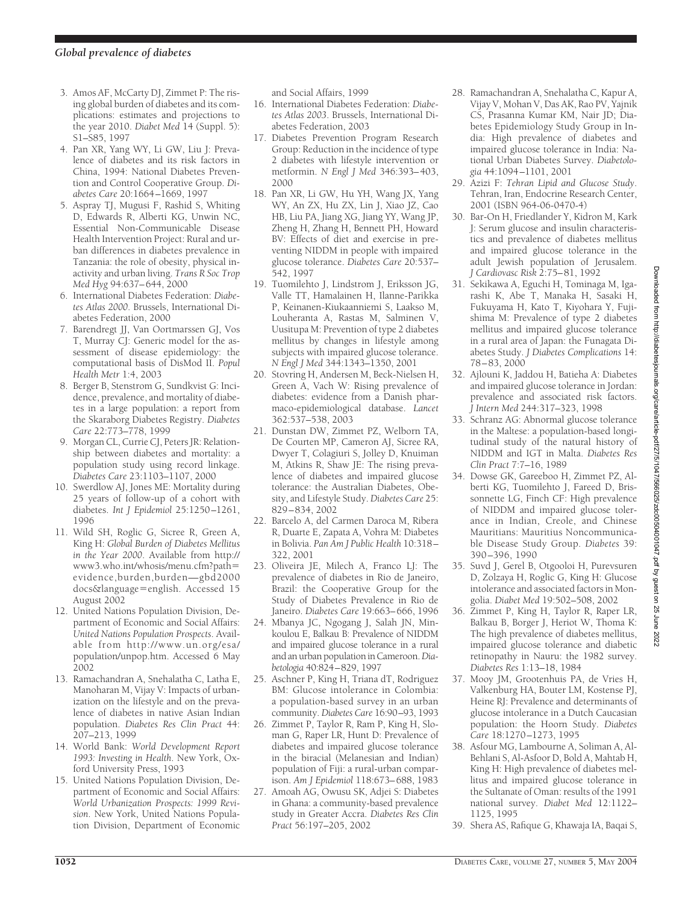- 3. Amos AF, McCarty DJ, Zimmet P: The rising global burden of diabetes and its complications: estimates and projections to the year 2010. *Diabet Med* 14 (Suppl. 5): S1–S85, 1997
- 4. Pan XR, Yang WY, Li GW, Liu J: Prevalence of diabetes and its risk factors in China, 1994: National Diabetes Prevention and Control Cooperative Group. *Diabetes Care* 20:1664–1669, 1997
- 5. Aspray TJ, Mugusi F, Rashid S, Whiting D, Edwards R, Alberti KG, Unwin NC, Essential Non-Communicable Disease Health Intervention Project: Rural and urban differences in diabetes prevalence in Tanzania: the role of obesity, physical inactivity and urban living. *Trans R Soc Trop Med Hyg* 94:637–644, 2000
- 6. International Diabetes Federation: *Diabetes Atlas 2000*. Brussels, International Diabetes Federation, 2000
- 7. Barendregt JJ, Van Oortmarssen GJ, Vos T, Murray CJ: Generic model for the assessment of disease epidemiology: the computational basis of DisMod II. *Popul Health Metr* 1:4, 2003
- 8. Berger B, Stenstrom G, Sundkvist G: Incidence, prevalence, and mortality of diabetes in a large population: a report from the Skaraborg Diabetes Registry. *Diabetes Care* 22:773–778, 1999
- 9. Morgan CL, Currie CJ, Peters JR: Relationship between diabetes and mortality: a population study using record linkage. *Diabetes Care* 23:1103–1107, 2000
- 10. Swerdlow AJ, Jones ME: Mortality during 25 years of follow-up of a cohort with diabetes. *Int J Epidemiol* 25:1250–1261, 1996
- 11. Wild SH, Roglic G, Sicree R, Green A, King H: *Global Burden of Diabetes Mellitus in the Year 2000*. Available from http:// www3.who.int/whosis/menu.cfm?path evidence,burden,burden—gbd2000 docs&language=english. Accessed 15 August 2002
- 12. United Nations Population Division, Department of Economic and Social Affairs: *United Nations Population Prospects*. Available from http://www.un.org/esa/ population/unpop.htm. Accessed 6 May 2002
- 13. Ramachandran A, Snehalatha C, Latha E, Manoharan M, Vijay V: Impacts of urbanization on the lifestyle and on the prevalence of diabetes in native Asian Indian population. *Diabetes Res Clin Pract* 44: 207–213, 1999
- 14. World Bank: *World Development Report 1993: Investing in Health*. New York, Oxford University Press, 1993
- 15. United Nations Population Division, Department of Economic and Social Affairs: *World Urbanization Prospects: 1999 Revision*. New York, United Nations Population Division, Department of Economic

and Social Affairs, 1999

- 16. International Diabetes Federation: *Diabetes Atlas 2003*. Brussels, International Diabetes Federation, 2003
- 17. Diabetes Prevention Program Research Group: Reduction in the incidence of type 2 diabetes with lifestyle intervention or metformin. *N Engl J Med* 346:393–403, 2000
- 18. Pan XR, Li GW, Hu YH, Wang JX, Yang WY, An ZX, Hu ZX, Lin J, Xiao JZ, Cao HB, Liu PA, Jiang XG, Jiang YY, Wang JP, Zheng H, Zhang H, Bennett PH, Howard BV: Effects of diet and exercise in preventing NIDDM in people with impaired glucose tolerance. *Diabetes Care* 20:537– 542, 1997
- 19. Tuomilehto J, Lindstrom J, Eriksson JG, Valle TT, Hamalainen H, Ilanne-Parikka P, Keinanen-Kiukaanniemi S, Laakso M, Louheranta A, Rastas M, Salminen V, Uusitupa M: Prevention of type 2 diabetes mellitus by changes in lifestyle among subjects with impaired glucose tolerance. *N Engl J Med* 344:1343–1350, 2001
- 20. Stovring H, Andersen M, Beck-Nielsen H, Green A, Vach W: Rising prevalence of diabetes: evidence from a Danish pharmaco-epidemiological database. *Lancet* 362:537–538, 2003
- 21. Dunstan DW, Zimmet PZ, Welborn TA, De Courten MP, Cameron AJ, Sicree RA, Dwyer T, Colagiuri S, Jolley D, Knuiman M, Atkins R, Shaw JE: The rising prevalence of diabetes and impaired glucose tolerance: the Australian Diabetes, Obesity, and Lifestyle Study. *Diabetes Care* 25: 829–834, 2002
- 22. Barcelo A, del Carmen Daroca M, Ribera R, Duarte E, Zapata A, Vohra M: Diabetes in Bolivia. *Pan Am J Public Health* 10:318– 322, 2001
- 23. Oliveira JE, Milech A, Franco LJ: The prevalence of diabetes in Rio de Janeiro, Brazil: the Cooperative Group for the Study of Diabetes Prevalence in Rio de Janeiro. *Diabetes Care* 19:663–666, 1996
- 24. Mbanya JC, Ngogang J, Salah JN, Minkoulou E, Balkau B: Prevalence of NIDDM and impaired glucose tolerance in a rural and an urban population in Cameroon.*Diabetologia* 40:824–829, 1997
- 25. Aschner P, King H, Triana dT, Rodriguez BM: Glucose intolerance in Colombia: a population-based survey in an urban community. *Diabetes Care* 16:90–93, 1993
- 26. Zimmet P, Taylor R, Ram P, King H, Sloman G, Raper LR, Hunt D: Prevalence of diabetes and impaired glucose tolerance in the biracial (Melanesian and Indian) population of Fiji: a rural-urban comparison. *Am J Epidemiol* 118:673–688, 1983
- 27. Amoah AG, Owusu SK, Adjei S: Diabetes in Ghana: a community-based prevalence study in Greater Accra. *Diabetes Res Clin Pract* 56:197–205, 2002
- 28. Ramachandran A, Snehalatha C, Kapur A, Vijay V, Mohan V, Das AK, Rao PV, Yajnik CS, Prasanna Kumar KM, Nair JD; Diabetes Epidemiology Study Group in India: High prevalence of diabetes and impaired glucose tolerance in India: National Urban Diabetes Survey. *Diabetologia* 44:1094–1101, 2001
- 29. Azizi F: *Tehran Lipid and Glucose Study*. Tehran, Iran, Endocrine Research Center, 2001 (ISBN 964-06-0470-4)
- 30. Bar-On H, Friedlander Y, Kidron M, Kark J: Serum glucose and insulin characteristics and prevalence of diabetes mellitus and impaired glucose tolerance in the adult Jewish population of Jerusalem. *J Cardiovasc Risk* 2:75–81, 1992
- 31. Sekikawa A, Eguchi H, Tominaga M, Igarashi K, Abe T, Manaka H, Sasaki H, Fukuyama H, Kato T, Kiyohara Y, Fujishima M: Prevalence of type 2 diabetes mellitus and impaired glucose tolerance in a rural area of Japan: the Funagata Diabetes Study. *J Diabetes Complications* 14: 78–83, 2000
- 32. Ajlouni K, Jaddou H, Batieha A: Diabetes and impaired glucose tolerance in Jordan: prevalence and associated risk factors. *J Intern Med* 244:317–323, 1998
- 33. Schranz AG: Abnormal glucose tolerance in the Maltese: a population-based longitudinal study of the natural history of NIDDM and IGT in Malta. *Diabetes Res Clin Pract* 7:7–16, 1989
- 34. Dowse GK, Gareeboo H, Zimmet PZ, Alberti KG, Tuomilehto J, Fareed D, Brissonnette LG, Finch CF: High prevalence of NIDDM and impaired glucose tolerance in Indian, Creole, and Chinese Mauritians: Mauritius Noncommunicable Disease Study Group. *Diabetes* 39: 390 –396, 1990
- 35. Suvd J, Gerel B, Otgooloi H, Purevsuren D, Zolzaya H, Roglic G, King H: Glucose intolerance and associated factors in Mongolia. *Diabet Med* 19:502–508, 2002
- 36. Zimmet P, King H, Taylor R, Raper LR, Balkau B, Borger J, Heriot W, Thoma K: The high prevalence of diabetes mellitus, impaired glucose tolerance and diabetic retinopathy in Nauru: the 1982 survey. *Diabetes Res* 1:13–18, 1984
- 37. Mooy JM, Grootenhuis PA, de Vries H, Valkenburg HA, Bouter LM, Kostense PJ, Heine RJ: Prevalence and determinants of glucose intolerance in a Dutch Caucasian population: the Hoorn Study. *Diabetes Care* 18:1270–1273, 1995
- 38. Asfour MG, Lambourne A, Soliman A, Al-Behlani S, Al-Asfoor D, Bold A, Mahtab H, King H: High prevalence of diabetes mellitus and impaired glucose tolerance in the Sultanate of Oman: results of the 1991 national survey. *Diabet Med* 12:1122– 1125, 1995
- 39. Shera AS, Rafique G, Khawaja IA, Baqai S,